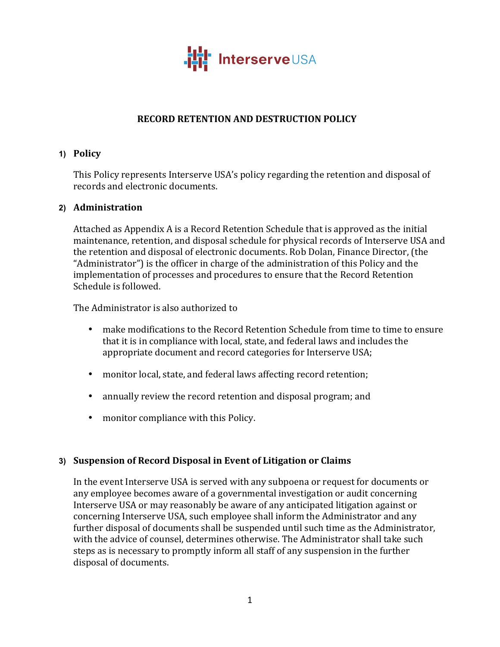

## **RECORD RETENTION AND DESTRUCTION POLICY**

#### **1) Policy**

This Policy represents Interserve USA's policy regarding the retention and disposal of records and electronic documents.

#### **2) Administration**

Attached as Appendix A is a Record Retention Schedule that is approved as the initial maintenance, retention, and disposal schedule for physical records of Interserve USA and the retention and disposal of electronic documents. Rob Dolan, Finance Director, (the "Administrator") is the officer in charge of the administration of this Policy and the implementation of processes and procedures to ensure that the Record Retention Schedule is followed.

The Administrator is also authorized to

- make modifications to the Record Retention Schedule from time to time to ensure that it is in compliance with local, state, and federal laws and includes the appropriate document and record categories for Interserve USA;
- monitor local, state, and federal laws affecting record retention;
- annually review the record retention and disposal program; and
- monitor compliance with this Policy.

#### **3) Suspension of Record Disposal in Event of Litigation or Claims**

In the event Interserve USA is served with any subpoena or request for documents or any employee becomes aware of a governmental investigation or audit concerning Interserve USA or may reasonably be aware of any anticipated litigation against or concerning Interserve USA, such employee shall inform the Administrator and any further disposal of documents shall be suspended until such time as the Administrator, with the advice of counsel, determines otherwise. The Administrator shall take such steps as is necessary to promptly inform all staff of any suspension in the further disposal of documents.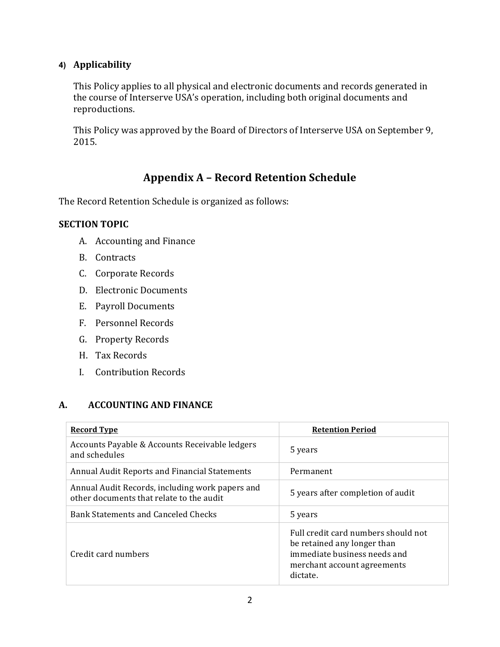### **4) Applicability**

This Policy applies to all physical and electronic documents and records generated in the course of Interserve USA's operation, including both original documents and reproductions.

This Policy was approved by the Board of Directors of Interserve USA on September 9, 2015.

# **Appendix A – Record Retention Schedule**

The Record Retention Schedule is organized as follows:

#### **SECTION TOPIC**

- A. Accounting and Finance
- B. Contracts
- C. Corporate Records
- D. Electronic Documents
- E. Payroll Documents
- F. Personnel Records
- G. Property Records
- H. Tax Records
- I. Contribution Records

#### **A. ACCOUNTING AND FINANCE**

| <b>Record Type</b>                                                                          | <b>Retention Period</b>                                                                                                                       |
|---------------------------------------------------------------------------------------------|-----------------------------------------------------------------------------------------------------------------------------------------------|
| Accounts Payable & Accounts Receivable ledgers<br>and schedules                             | 5 years                                                                                                                                       |
| Annual Audit Reports and Financial Statements                                               | Permanent                                                                                                                                     |
| Annual Audit Records, including work papers and<br>other documents that relate to the audit | 5 years after completion of audit                                                                                                             |
| Bank Statements and Canceled Checks                                                         | 5 years                                                                                                                                       |
| Credit card numbers                                                                         | Full credit card numbers should not<br>be retained any longer than<br>immediate business needs and<br>merchant account agreements<br>dictate. |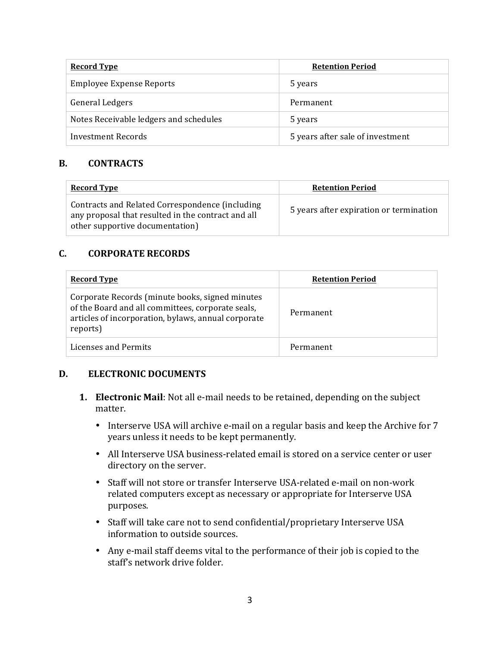| <b>Record Type</b>                     | <b>Retention Period</b>          |
|----------------------------------------|----------------------------------|
| Employee Expense Reports               | 5 years                          |
| General Ledgers                        | Permanent                        |
| Notes Receivable ledgers and schedules | 5 years                          |
| Investment Records                     | 5 years after sale of investment |

#### **B. CONTRACTS**

| <b>Record Type</b>                                                                                                                       | <b>Retention Period</b>                 |
|------------------------------------------------------------------------------------------------------------------------------------------|-----------------------------------------|
| Contracts and Related Correspondence (including<br>any proposal that resulted in the contract and all<br>other supportive documentation) | 5 years after expiration or termination |

#### **C. CORPORATE RECORDS**

| <b>Record Type</b>                                                                                                                                                      | <b>Retention Period</b> |
|-------------------------------------------------------------------------------------------------------------------------------------------------------------------------|-------------------------|
| Corporate Records (minute books, signed minutes<br>of the Board and all committees, corporate seals,<br>articles of incorporation, bylaws, annual corporate<br>reports) | Permanent               |
| Licenses and Permits                                                                                                                                                    | Permanent               |

#### **D. ELECTRONIC DOCUMENTS**

- **1. Electronic Mail**: Not all e-mail needs to be retained, depending on the subject matter.
	- Interserve USA will archive e-mail on a regular basis and keep the Archive for 7 years unless it needs to be kept permanently.
	- All Interserve USA business-related email is stored on a service center or user directory on the server.
	- Staff will not store or transfer Interserve USA-related e-mail on non-work related computers except as necessary or appropriate for Interserve USA purposes.
	- Staff will take care not to send confidential/proprietary Interserve USA information to outside sources.
	- Any e-mail staff deems vital to the performance of their job is copied to the staff's network drive folder.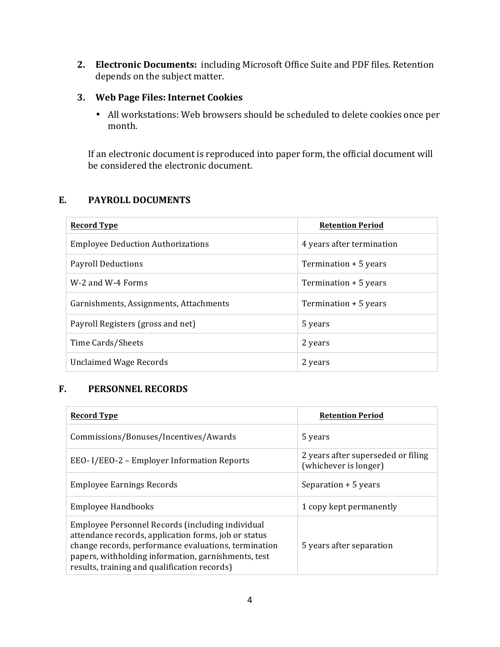**2. Electronic Documents:** including Microsoft Office Suite and PDF files. Retention depends on the subject matter.

### **3. Web Page Files: Internet Cookies**

• All workstations: Web browsers should be scheduled to delete cookies once per month.

If an electronic document is reproduced into paper form, the official document will be considered the electronic document.

### **E. PAYROLL DOCUMENTS**

| <b>Record Type</b>                       | <b>Retention Period</b>   |
|------------------------------------------|---------------------------|
| <b>Employee Deduction Authorizations</b> | 4 years after termination |
| <b>Payroll Deductions</b>                | Termination + 5 years     |
| W-2 and W-4 Forms                        | Termination + 5 years     |
| Garnishments, Assignments, Attachments   | Termination + 5 years     |
| Payroll Registers (gross and net)        | 5 years                   |
| Time Cards/Sheets                        | 2 years                   |
| Unclaimed Wage Records                   | 2 years                   |

## **F. PERSONNEL RECORDS**

| <b>Record Type</b>                                                                                                                                                                                                                                                      | <b>Retention Period</b>                                     |
|-------------------------------------------------------------------------------------------------------------------------------------------------------------------------------------------------------------------------------------------------------------------------|-------------------------------------------------------------|
| Commissions/Bonuses/Incentives/Awards                                                                                                                                                                                                                                   | 5 years                                                     |
| EEO-I/EEO-2 – Employer Information Reports                                                                                                                                                                                                                              | 2 years after superseded or filing<br>(whichever is longer) |
| <b>Employee Earnings Records</b>                                                                                                                                                                                                                                        | Separation + 5 years                                        |
| <b>Employee Handbooks</b>                                                                                                                                                                                                                                               | 1 copy kept permanently                                     |
| Employee Personnel Records (including individual<br>attendance records, application forms, job or status<br>change records, performance evaluations, termination<br>papers, withholding information, garnishments, test<br>results, training and qualification records) | 5 years after separation                                    |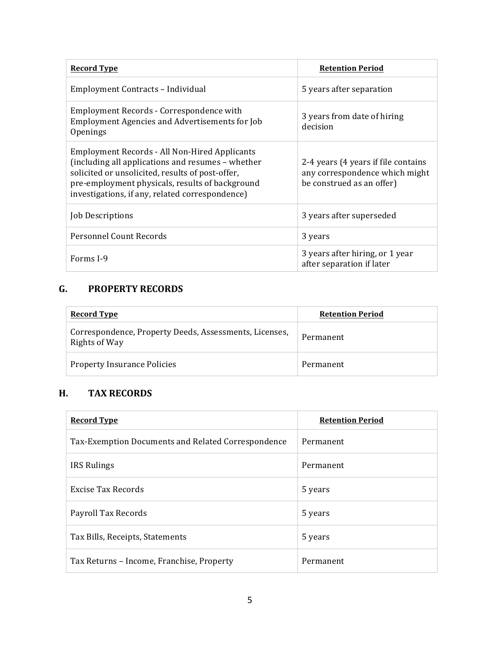| <b>Record Type</b>                                                                                                                                                                                                                                           | <b>Retention Period</b>                                                                            |
|--------------------------------------------------------------------------------------------------------------------------------------------------------------------------------------------------------------------------------------------------------------|----------------------------------------------------------------------------------------------------|
| Employment Contracts - Individual                                                                                                                                                                                                                            | 5 years after separation                                                                           |
| Employment Records - Correspondence with<br><b>Employment Agencies and Advertisements for Job</b><br>Openings                                                                                                                                                | 3 years from date of hiring<br>decision                                                            |
| Employment Records - All Non-Hired Applicants<br>(including all applications and resumes - whether<br>solicited or unsolicited, results of post-offer,<br>pre-employment physicals, results of background<br>investigations, if any, related correspondence) | 2-4 years (4 years if file contains<br>any correspondence which might<br>be construed as an offer) |
| Job Descriptions                                                                                                                                                                                                                                             | 3 years after superseded                                                                           |
| Personnel Count Records                                                                                                                                                                                                                                      | 3 years                                                                                            |
| Forms I-9                                                                                                                                                                                                                                                    | 3 years after hiring, or 1 year<br>after separation if later                                       |

## **G. PROPERTY RECORDS**

| <b>Record Type</b>                                                      | <b>Retention Period</b> |
|-------------------------------------------------------------------------|-------------------------|
| Correspondence, Property Deeds, Assessments, Licenses,<br>Rights of Way | Permanent               |
| <b>Property Insurance Policies</b>                                      | Permanent               |

# **H. TAX RECORDS**

| <b>Record Type</b>                                 | <b>Retention Period</b> |
|----------------------------------------------------|-------------------------|
| Tax-Exemption Documents and Related Correspondence | Permanent               |
| <b>IRS Rulings</b>                                 | Permanent               |
| Excise Tax Records                                 | 5 years                 |
| Payroll Tax Records                                | 5 years                 |
| Tax Bills, Receipts, Statements                    | 5 years                 |
| Tax Returns – Income, Franchise, Property          | Permanent               |